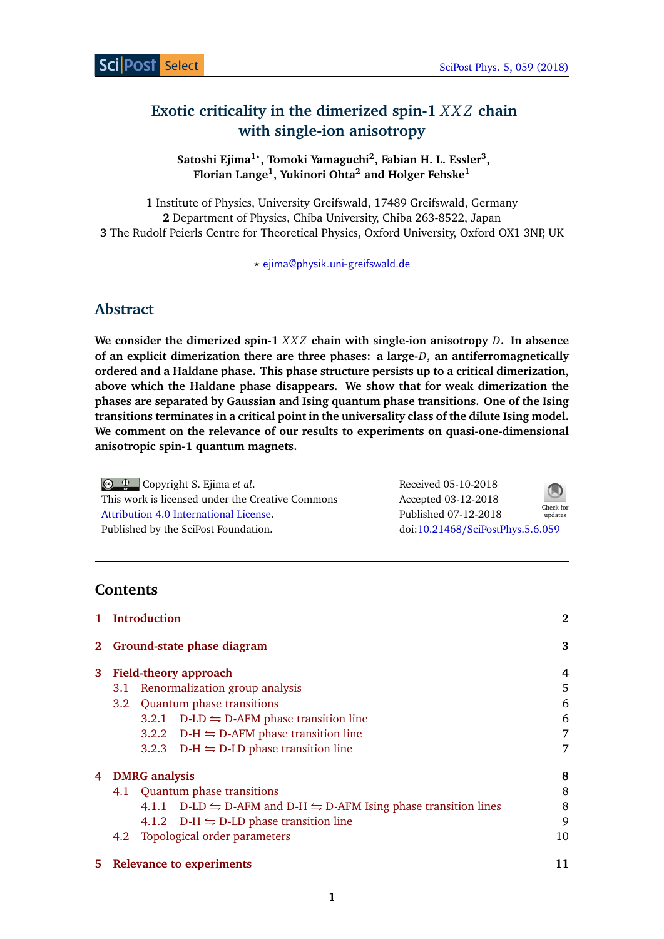

# **Exotic criticality in the dimerized spin-1** *X X Z* **chain with single-ion anisotropy**

**Satoshi Ejima1***?* **, Tomoki Yamaguchi<sup>2</sup> , Fabian H. L. Essler<sup>3</sup> , Florian Lange<sup>1</sup> , Yukinori Ohta<sup>2</sup> and Holger Fehske<sup>1</sup>**

**1** Institute of Physics, University Greifswald, 17489 Greifswald, Germany **2** Department of Physics, Chiba University, Chiba 263-8522, Japan **3** The Rudolf Peierls Centre for Theoretical Physics, Oxford University, Oxford OX1 3NP, UK

*?* [ejima@physik.uni-greifswald.de](mailto:ejima@physik.uni-greifswald.de)

# **Abstract**

**We consider the dimerized spin-1** *X X Z* **chain with single-ion anisotropy** *D***. In absence of an explicit dimerization there are three phases: a large-***D***, an antiferromagnetically ordered and a Haldane phase. This phase structure persists up to a critical dimerization, above which the Haldane phase disappears. We show that for weak dimerization the phases are separated by Gaussian and Ising quantum phase transitions. One of the Ising transitions terminates in a critical point in the universality class of the dilute Ising model. We comment on the relevance of our results to experiments on quasi-one-dimensional anisotropic spin-1 quantum magnets.**

Copyright S. Ejima *et al*. This work is licensed under the Creative Commons [Attribution 4.0 International License.](http://creativecommons.org/licenses/by/4.0/) Published by the SciPost Foundation.

| Received 05-10-2018              |                      |
|----------------------------------|----------------------|
| Accepted 03-12-2018              |                      |
| Published 07-12-2018             | Check for<br>updates |
| doi:10.21468/SciPostPhys.5.6.059 |                      |

## **Contents**

|          |     | <b>Introduction</b>  |                                                                                                       | 2  |
|----------|-----|----------------------|-------------------------------------------------------------------------------------------------------|----|
| $\bf{2}$ |     |                      | Ground-state phase diagram                                                                            | 3  |
| 3        |     |                      | <b>Field-theory approach</b>                                                                          | 4  |
|          |     |                      | 3.1 Renormalization group analysis                                                                    | 5  |
|          |     |                      | 3.2 Quantum phase transitions                                                                         | 6  |
|          |     |                      | 3.2.1 D-LD $\leftrightharpoons$ D-AFM phase transition line                                           | 6  |
|          |     |                      | 3.2.2 D-H $\leftrightharpoons$ D-AFM phase transition line                                            | 7  |
|          |     |                      | 3.2.3 D-H $\leftrightharpoons$ D-LD phase transition line                                             | 7  |
| 4        |     | <b>DMRG</b> analysis |                                                                                                       | 8  |
|          |     |                      | 4.1 Quantum phase transitions                                                                         | 8  |
|          |     |                      | 4.1.1 D-LD $\leftrightharpoons$ D-AFM and D-H $\leftrightharpoons$ D-AFM Ising phase transition lines | 8  |
|          |     |                      | 4.1.2 D-H $\leftrightharpoons$ D-LD phase transition line                                             | 9  |
|          | 4.2 |                      | Topological order parameters                                                                          | 10 |
|          |     |                      |                                                                                                       |    |

**1**

**[5 Relevance to experiments](#page-10-0) 11**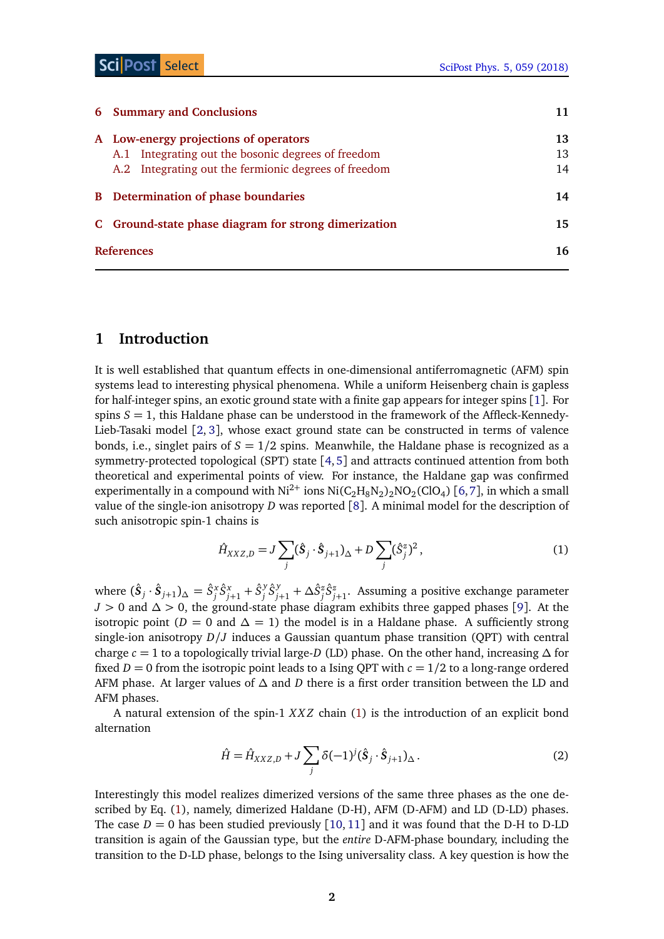| <b>6</b> Summary and Conclusions                     | 11                                                 |  |
|------------------------------------------------------|----------------------------------------------------|--|
| A Low-energy projections of operators                |                                                    |  |
|                                                      | 13                                                 |  |
| A.2 Integrating out the fermionic degrees of freedom | 14                                                 |  |
|                                                      |                                                    |  |
| <b>B</b> Determination of phase boundaries           | 14                                                 |  |
| C Ground-state phase diagram for strong dimerization | 15                                                 |  |
|                                                      | A.1 Integrating out the bosonic degrees of freedom |  |

## <span id="page-1-0"></span>**1 Introduction**

It is well established that quantum effects in one-dimensional antiferromagnetic (AFM) spin systems lead to interesting physical phenomena. While a uniform Heisenberg chain is gapless for half-integer spins, an exotic ground state with a finite gap appears for integer spins [[1](#page-15-0)]. For spins  $S = 1$ , this Haldane phase can be understood in the framework of the Affleck-Kennedy-Lieb-Tasaki model [[2,](#page-15-1) [3](#page-15-2)], whose exact ground state can be constructed in terms of valence bonds, i.e., singlet pairs of  $S = 1/2$  spins. Meanwhile, the Haldane phase is recognized as a symmetry-protected topological (SPT) state [[4,](#page-15-3)[5](#page-15-4)] and attracts continued attention from both theoretical and experimental points of view. For instance, the Haldane gap was confirmed experimentally in a compound with Ni<sup>2+</sup> ions Ni $(C_2H_8N_2)_2$ NO $_2$ (ClO<sub>4</sub>) [[6,](#page-15-5)[7](#page-15-6)], in which a small value of the single-ion anisotropy *D* was reported [[8](#page-15-7)]. A minimal model for the description of such anisotropic spin-1 chains is

<span id="page-1-1"></span>
$$
\hat{H}_{XXZ,D} = J \sum_{j} (\hat{\mathbf{S}}_j \cdot \hat{\mathbf{S}}_{j+1})_{\Delta} + D \sum_{j} (\hat{S}_j^z)^2, \tag{1}
$$

where  $(\hat{S}_j \cdot \hat{S}_{j+1})_{\Delta} = \hat{S}_j^x \hat{S}_{j+1}^x + \hat{S}_j^y$ *j S*ˆ *y j*+1 + *∆S*ˆ*<sup>z</sup> j S*ˆ*z j*+1 . Assuming a positive exchange parameter *J >* 0 and *∆ >* 0, the ground-state phase diagram exhibits three gapped phases [[9](#page-15-8)]. At the isotropic point ( $D = 0$  and  $\Delta = 1$ ) the model is in a Haldane phase. A sufficiently strong single-ion anisotropy *D/J* induces a Gaussian quantum phase transition (QPT) with central charge  $c = 1$  to a topologically trivial large-*D* (LD) phase. On the other hand, increasing  $\Delta$  for fixed  $D = 0$  from the isotropic point leads to a Ising QPT with  $c = 1/2$  to a long-range ordered AFM phase. At larger values of *∆* and *D* there is a first order transition between the LD and AFM phases.

A natural extension of the spin-1 *X X Z* chain [\(1\)](#page-1-1) is the introduction of an explicit bond alternation

<span id="page-1-2"></span>
$$
\hat{H} = \hat{H}_{XXZ,D} + J \sum_{j} \delta(-1)^{j} (\hat{\mathbf{S}}_{j} \cdot \hat{\mathbf{S}}_{j+1})_{\Delta}.
$$
\n(2)

Interestingly this model realizes dimerized versions of the same three phases as the one described by Eq. [\(1\)](#page-1-1), namely, dimerized Haldane (D-H), AFM (D-AFM) and LD (D-LD) phases. The case  $D = 0$  has been studied previously [[10,](#page-15-9) [11](#page-15-10)] and it was found that the D-H to D-LD transition is again of the Gaussian type, but the *entire* D-AFM-phase boundary, including the transition to the D-LD phase, belongs to the Ising universality class. A key question is how the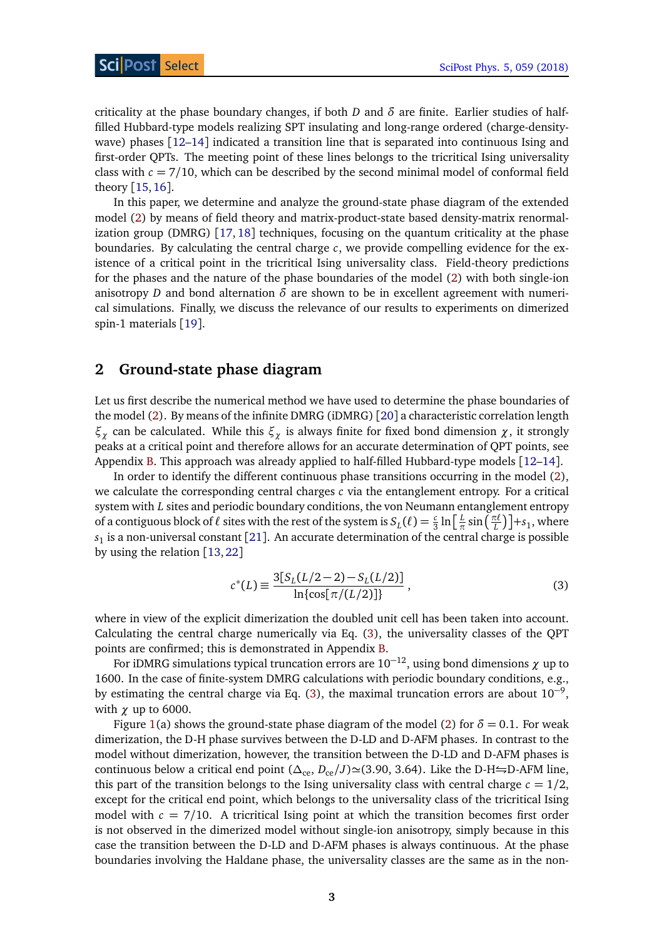criticality at the phase boundary changes, if both *D* and  $\delta$  are finite. Earlier studies of halffilled Hubbard-type models realizing SPT insulating and long-range ordered (charge-densitywave) phases [[12–](#page-15-11)[14](#page-15-12)] indicated a transition line that is separated into continuous Ising and first-order QPTs. The meeting point of these lines belongs to the tricritical Ising universality class with  $c = 7/10$ , which can be described by the second minimal model of conformal field theory [[15,](#page-16-0)[16](#page-16-1)].

In this paper, we determine and analyze the ground-state phase diagram of the extended model [\(2\)](#page-1-2) by means of field theory and matrix-product-state based density-matrix renormalization group (DMRG) [[17,](#page-16-2) [18](#page-16-3)] techniques, focusing on the quantum criticality at the phase boundaries. By calculating the central charge *c*, we provide compelling evidence for the existence of a critical point in the tricritical Ising universality class. Field-theory predictions for the phases and the nature of the phase boundaries of the model [\(2\)](#page-1-2) with both single-ion anisotropy *D* and bond alternation  $\delta$  are shown to be in excellent agreement with numerical simulations. Finally, we discuss the relevance of our results to experiments on dimerized spin-1 materials [[19](#page-16-4)].

## <span id="page-2-0"></span>**2 Ground-state phase diagram**

Let us first describe the numerical method we have used to determine the phase boundaries of the model [\(2\)](#page-1-2). By means of the infinite DMRG (iDMRG) [[20](#page-16-5)] a characteristic correlation length *ξ<sup>χ</sup>* can be calculated. While this *ξ<sup>χ</sup>* is always finite for fixed bond dimension *χ*, it strongly peaks at a critical point and therefore allows for an accurate determination of QPT points, see Appendix [B.](#page-13-1) This approach was already applied to half-filled Hubbard-type models [[12](#page-15-11)[–14](#page-15-12)].

In order to identify the different continuous phase transitions occurring in the model [\(2\)](#page-1-2), we calculate the corresponding central charges *c* via the entanglement entropy. For a critical system with *L* sites and periodic boundary conditions, the von Neumann entanglement entropy of a contiguous block of  $\ell$  sites with the rest of the system is  $S_L(\ell) = \frac{c}{3} \ln \left[ \frac{L}{\pi} \right]$  $\frac{L}{\pi}$  sin $\left(\frac{\pi\ell}{L}\right)$  $\left[\frac{\tau \ell}{L}\right)\right] + s_1,$  where  $\mathit{s}_1$  is a non-universal constant [[21](#page-16-6)]. An accurate determination of the central charge is possible by using the relation [[13,](#page-15-13)[22](#page-16-7)]

<span id="page-2-1"></span>
$$
c^*(L) \equiv \frac{3[S_L(L/2 - 2) - S_L(L/2)]}{\ln\{\cos[\pi/(L/2)]\}},
$$
\n(3)

where in view of the explicit dimerization the doubled unit cell has been taken into account. Calculating the central charge numerically via Eq. [\(3\)](#page-2-1), the universality classes of the QPT points are confirmed; this is demonstrated in Appendix [B.](#page-13-1)

For iDMRG simulations typical truncation errors are 10−12, using bond dimensions *χ* up to 1600. In the case of finite-system DMRG calculations with periodic boundary conditions, e.g., by estimating the central charge via Eq. [\(3\)](#page-2-1), the maximal truncation errors are about  $10^{-9}$ , with *χ* up to 6000.

Figure [1\(](#page-3-1)a) shows the ground-state phase diagram of the model [\(2\)](#page-1-2) for  $\delta = 0.1$ . For weak dimerization, the D-H phase survives between the D-LD and D-AFM phases. In contrast to the model without dimerization, however, the transition between the D-LD and D-AFM phases is continuous below a critical end point ( $\Delta_{ce}$ ,  $D_{ce}/J$ ) $\simeq$ (3.90, 3.64). Like the D-H≒D-AFM line, this part of the transition belongs to the Ising universality class with central charge  $c = 1/2$ , except for the critical end point, which belongs to the universality class of the tricritical Ising model with  $c = 7/10$ . A tricritical Ising point at which the transition becomes first order is not observed in the dimerized model without single-ion anisotropy, simply because in this case the transition between the D-LD and D-AFM phases is always continuous. At the phase boundaries involving the Haldane phase, the universality classes are the same as in the non-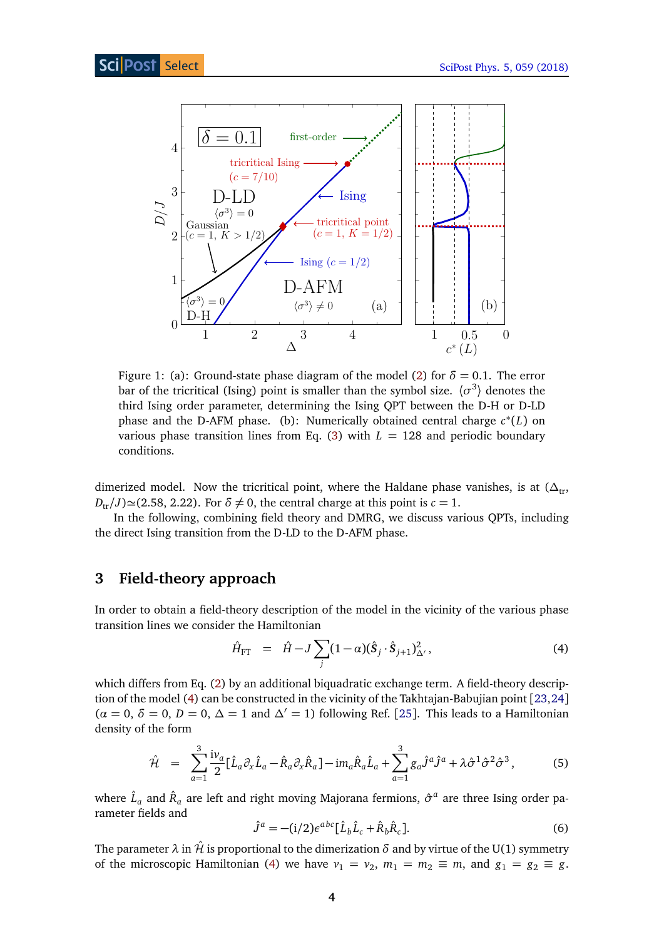<span id="page-3-1"></span>

Figure 1: (a): Ground-state phase diagram of the model [\(2\)](#page-1-2) for  $\delta = 0.1$ . The error bar of the tricritical (Ising) point is smaller than the symbol size.  $\langle \sigma^3 \rangle$  denotes the third Ising order parameter, determining the Ising QPT between the D-H or D-LD phase and the D-AFM phase. (b): Numerically obtained central charge *c* ∗ (*L*) on various phase transition lines from Eq. [\(3\)](#page-2-1) with  $L = 128$  and periodic boundary conditions.

dimerized model. Now the tricritical point, where the Haldane phase vanishes, is at  $(\Delta_{tr})$  $D_{\text{tr}}/J$ ) $\approx$ (2.58, 2.22). For  $\delta \neq 0$ , the central charge at this point is  $c = 1$ .

In the following, combining field theory and DMRG, we discuss various QPTs, including the direct Ising transition from the D-LD to the D-AFM phase.

## <span id="page-3-0"></span>**3 Field-theory approach**

In order to obtain a field-theory description of the model in the vicinity of the various phase transition lines we consider the Hamiltonian

<span id="page-3-2"></span>
$$
\hat{H}_{\text{FT}} = \hat{H} - J \sum_{j} (1 - \alpha) (\hat{S}_j \cdot \hat{S}_{j+1})_{\Delta'}^2, \tag{4}
$$

which differs from Eq. [\(2\)](#page-1-2) by an additional biquadratic exchange term. A field-theory description of the model [\(4\)](#page-3-2) can be constructed in the vicinity of the Takhtajan-Babujian point [[23,](#page-16-8)[24](#page-16-9)]  $(\alpha = 0, \delta = 0, D = 0, \Delta = 1 \text{ and } \Delta' = 1)$  following Ref. [[25](#page-16-10)]. This leads to a Hamiltonian density of the form

<span id="page-3-3"></span>
$$
\hat{\mathcal{H}} = \sum_{a=1}^{3} \frac{\mathrm{i} v_a}{2} [\hat{L}_a \partial_x \hat{L}_a - \hat{R}_a \partial_x \hat{R}_a] - \mathrm{i} m_a \hat{R}_a \hat{L}_a + \sum_{a=1}^{3} g_a \hat{J}^a \hat{J}^a + \lambda \hat{\sigma}^1 \hat{\sigma}^2 \hat{\sigma}^3, \tag{5}
$$

where  $\hat{L}_a$  and  $\hat{R}_a$  are left and right moving Majorana fermions,  $\hat{\sigma}^a$  are three Ising order parameter fields and

$$
\hat{J}^a = - (i/2) \epsilon^{abc} [\hat{L}_b \hat{L}_c + \hat{R}_b \hat{R}_c].
$$
 (6)

The parameter  $\lambda$  in  $\hat{\mathcal{H}}$  is proportional to the dimerization  $\delta$  and by virtue of the U(1) symmetry of the microscopic Hamiltonian [\(4\)](#page-3-2) we have  $v_1 = v_2$ ,  $m_1 = m_2 \equiv m$ , and  $g_1 = g_2 \equiv g$ .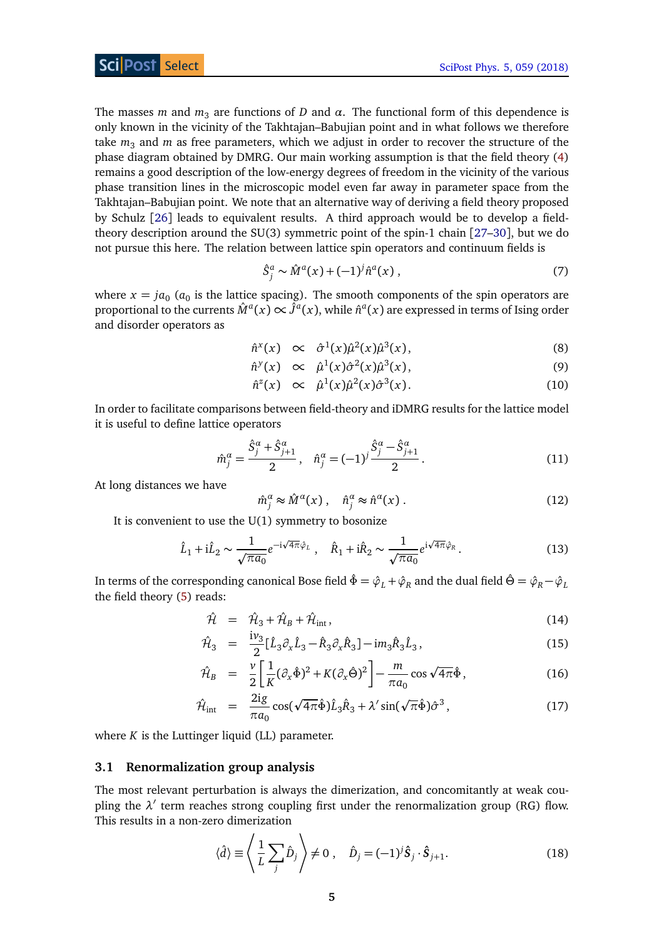The masses  $m$  and  $m_3$  are functions of  $D$  and  $\alpha$ . The functional form of this dependence is only known in the vicinity of the Takhtajan–Babujian point and in what follows we therefore take  $m<sub>3</sub>$  and  $m$  as free parameters, which we adjust in order to recover the structure of the phase diagram obtained by DMRG. Our main working assumption is that the field theory [\(4\)](#page-3-2) remains a good description of the low-energy degrees of freedom in the vicinity of the various phase transition lines in the microscopic model even far away in parameter space from the Takhtajan–Babujian point. We note that an alternative way of deriving a field theory proposed by Schulz [[26](#page-16-11)] leads to equivalent results. A third approach would be to develop a fieldtheory description around the SU(3) symmetric point of the spin-1 chain [[27](#page-16-12)[–30](#page-16-13)], but we do not pursue this here. The relation between lattice spin operators and continuum fields is

$$
\hat{S}_j^a \sim \hat{M}^a(x) + (-1)^j \hat{n}^a(x) , \qquad (7)
$$

where  $x = ja_0$  ( $a_0$  is the lattice spacing). The smooth components of the spin operators are proportional to the currents  $\hat{M}^a(x)\,{\propto}\,\hat{J}^a(x),$  while  $\hat{n}^a(x)$  are expressed in terms of Ising order and disorder operators as

$$
\hat{n}^x(x) \propto \hat{\sigma}^1(x)\hat{\mu}^2(x)\hat{\mu}^3(x), \tag{8}
$$

$$
\hat{n}^y(x) \propto \hat{\mu}^1(x)\hat{\sigma}^2(x)\hat{\mu}^3(x), \tag{9}
$$

$$
\hat{n}^z(x) \propto \hat{\mu}^1(x)\hat{\mu}^2(x)\hat{\sigma}^3(x). \tag{10}
$$

In order to facilitate comparisons between field-theory and iDMRG results for the lattice model it is useful to define lattice operators

$$
\hat{m}_j^{\alpha} = \frac{\hat{S}_j^{\alpha} + \hat{S}_{j+1}^{\alpha}}{2}, \quad \hat{n}_j^{\alpha} = (-1)^j \frac{\hat{S}_j^{\alpha} - \hat{S}_{j+1}^{\alpha}}{2}.
$$
\n(11)

At long distances we have

$$
\hat{m}_j^a \approx \hat{M}^a(x) , \quad \hat{n}_j^a \approx \hat{n}^a(x) . \tag{12}
$$

It is convenient to use the  $U(1)$  symmetry to bosonize

$$
\hat{L}_1 + i\hat{L}_2 \sim \frac{1}{\sqrt{\pi a_0}} e^{-i\sqrt{4\pi}\hat{\varphi}_L}, \quad \hat{R}_1 + i\hat{R}_2 \sim \frac{1}{\sqrt{\pi a_0}} e^{i\sqrt{4\pi}\hat{\varphi}_R}.
$$
 (13)

In terms of the corresponding canonical Bose field  $\hat{\Phi} = \hat{\varphi}_L + \hat{\varphi}_R$  and the dual field  $\hat{\Theta} = \hat{\varphi}_R - \hat{\varphi}_L$ the field theory [\(5\)](#page-3-3) reads:

<span id="page-4-1"></span>
$$
\hat{\mathcal{H}} = \hat{\mathcal{H}}_3 + \hat{\mathcal{H}}_B + \hat{\mathcal{H}}_{int}, \tag{14}
$$

$$
\hat{\mathcal{H}}_3 = \frac{\mathrm{i}v_3}{2} [\hat{L}_3 \partial_x \hat{L}_3 - \hat{R}_3 \partial_x \hat{R}_3] - \mathrm{i}m_3 \hat{R}_3 \hat{L}_3, \tag{15}
$$

$$
\hat{\mathcal{H}}_B = \frac{v}{2} \left[ \frac{1}{K} (\partial_x \hat{\Phi})^2 + K (\partial_x \hat{\Theta})^2 \right] - \frac{m}{\pi a_0} \cos \sqrt{4 \pi} \hat{\Phi}, \tag{16}
$$

$$
\hat{\mathcal{H}}_{int} = \frac{2ig}{\pi a_0} \cos(\sqrt{4\pi} \hat{\Phi}) \hat{L}_3 \hat{R}_3 + \lambda' \sin(\sqrt{\pi} \hat{\Phi}) \hat{\sigma}^3, \tag{17}
$$

where  $K$  is the Luttinger liquid (LL) parameter.

#### <span id="page-4-0"></span>**3.1 Renormalization group analysis**

The most relevant perturbation is always the dimerization, and concomitantly at weak coupling the  $\lambda'$  term reaches strong coupling first under the renormalization group (RG) flow. This results in a non-zero dimerization

$$
\langle \hat{d} \rangle \equiv \left\langle \frac{1}{L} \sum_{j} \hat{D}_{j} \right\rangle \neq 0 , \quad \hat{D}_{j} = (-1)^{j} \hat{S}_{j} \cdot \hat{S}_{j+1}.
$$
 (18)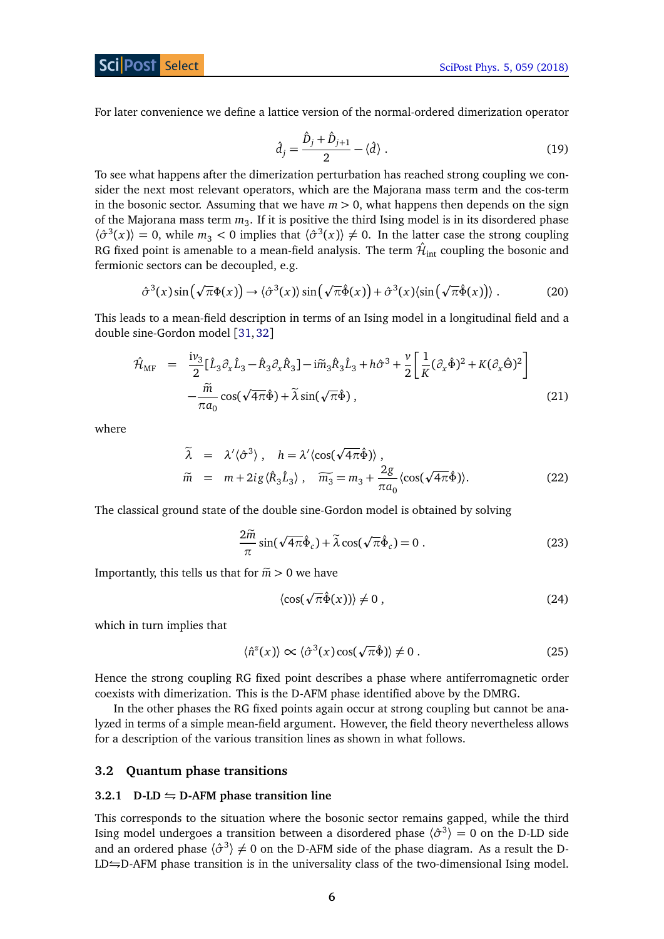#### **ScilPost** [Select](https://scipost.org)

For later convenience we define a lattice version of the normal-ordered dimerization operator

$$
\hat{d}_j = \frac{\hat{D}_j + \hat{D}_{j+1}}{2} - \langle \hat{d} \rangle \,. \tag{19}
$$

To see what happens after the dimerization perturbation has reached strong coupling we consider the next most relevant operators, which are the Majorana mass term and the cos-term in the bosonic sector. Assuming that we have  $m > 0$ , what happens then depends on the sign of the Majorana mass term  $m_3$ . If it is positive the third Ising model is in its disordered phase  $\langle \hat{\sigma}^3(x) \rangle = 0$ , while  $m_3 < 0$  implies that  $\langle \hat{\sigma}^3(x) \rangle \neq 0$ . In the latter case the strong coupling RG fixed point is amenable to a mean-field analysis. The term  $\hat{\mathcal{H}}_{\rm int}$  coupling the bosonic and fermionic sectors can be decoupled, e.g.

$$
\hat{\sigma}^3(x)\sin(\sqrt{\pi}\Phi(x)) \to \langle \hat{\sigma}^3(x) \rangle \sin(\sqrt{\pi}\hat{\Phi}(x)) + \hat{\sigma}^3(x)\langle \sin(\sqrt{\pi}\hat{\Phi}(x)) \rangle. \tag{20}
$$

This leads to a mean-field description in terms of an Ising model in a longitudinal field and a double sine-Gordon model [[31,](#page-16-14)[32](#page-17-0)]

$$
\hat{\mathcal{H}}_{\text{MF}} = \frac{\mathrm{i}\nu_3}{2} [\hat{L}_3 \partial_x \hat{L}_3 - \hat{R}_3 \partial_x \hat{R}_3] - \mathrm{i}\tilde{m}_3 \hat{R}_3 \hat{L}_3 + h\hat{\sigma}^3 + \frac{\nu}{2} \left[ \frac{1}{K} (\partial_x \hat{\Phi})^2 + K (\partial_x \hat{\Theta})^2 \right] - \frac{\tilde{m}}{\pi a_0} \cos(\sqrt{4\pi} \hat{\Phi}) + \tilde{\lambda} \sin(\sqrt{\pi} \hat{\Phi}), \tag{21}
$$

where

$$
\tilde{\lambda} = \lambda' \langle \hat{\sigma}^3 \rangle, \quad h = \lambda' \langle \cos(\sqrt{4\pi} \hat{\Phi}) \rangle, \n\tilde{m} = m + 2ig \langle \hat{R}_3 \hat{L}_3 \rangle, \quad \widetilde{m}_3 = m_3 + \frac{2g}{\pi a_0} \langle \cos(\sqrt{4\pi} \hat{\Phi}) \rangle.
$$
\n(22)

The classical ground state of the double sine-Gordon model is obtained by solving

$$
\frac{2\tilde{m}}{\pi}\sin(\sqrt{4\pi}\hat{\Phi}_c) + \tilde{\lambda}\cos(\sqrt{\pi}\hat{\Phi}_c) = 0.
$$
 (23)

Importantly, this tells us that for  $\widetilde{m} > 0$  we have

$$
\langle \cos(\sqrt{\pi}\hat{\Phi}(x)) \rangle \neq 0 , \qquad (24)
$$

which in turn implies that

$$
\langle \hat{n}^z(x) \rangle \propto \langle \hat{\sigma}^3(x) \cos(\sqrt{\pi} \hat{\Phi}) \rangle \neq 0. \tag{25}
$$

Hence the strong coupling RG fixed point describes a phase where antiferromagnetic order coexists with dimerization. This is the D-AFM phase identified above by the DMRG.

In the other phases the RG fixed points again occur at strong coupling but cannot be analyzed in terms of a simple mean-field argument. However, the field theory nevertheless allows for a description of the various transition lines as shown in what follows.

#### <span id="page-5-0"></span>**3.2 Quantum phase transitions**

#### <span id="page-5-1"></span>**3.2.1 D-LD**  $\leftrightharpoons$  **D-AFM** phase transition line

This corresponds to the situation where the bosonic sector remains gapped, while the third Ising model undergoes a transition between a disordered phase  $\langle \hat{\sigma}^3 \rangle = 0$  on the D-LD side and an ordered phase  $\langle \hat{\sigma}^3 \rangle \neq 0$  on the D-AFM side of the phase diagram. As a result the D- $LD \rightleftharpoons D$ -AFM phase transition is in the universality class of the two-dimensional Ising model.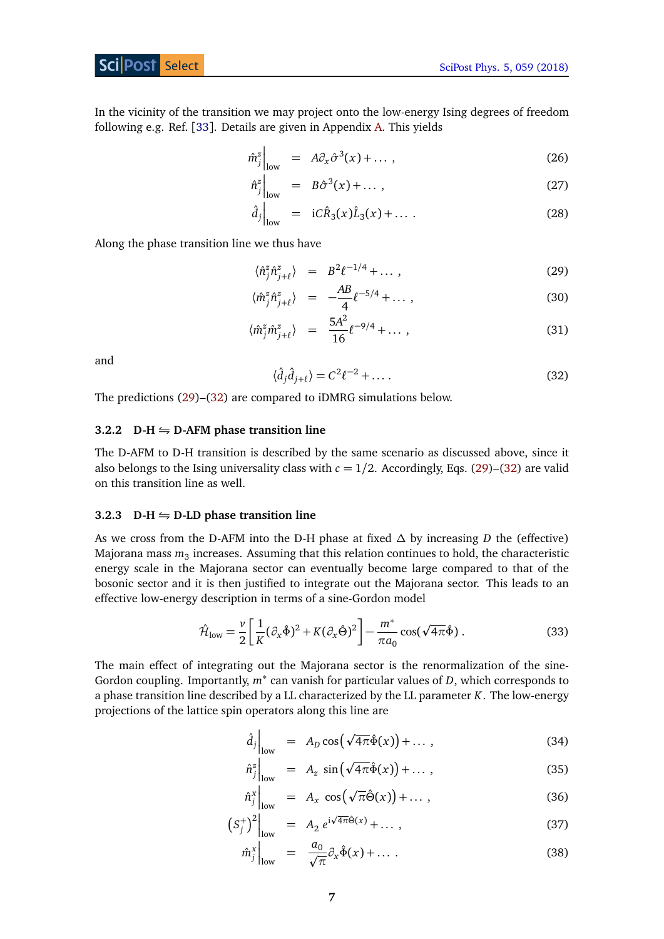#### **ScilPost [Select](https://scipost.org)**

In the vicinity of the transition we may project onto the low-energy Ising degrees of freedom following e.g. Ref. [[33](#page-17-1)]. Details are given in Appendix [A.](#page-12-0) This yields

$$
\left. \hat{m}_j^z \right|_{\text{low}} = A \partial_x \hat{\sigma}^3(x) + \dots \,, \tag{26}
$$

$$
\left. \hat{n}_j^z \right|_{\text{low}} = B\hat{\sigma}^3(x) + \dots \,, \tag{27}
$$

$$
\hat{d}_j\Big|_{\text{low}} = iC\hat{R}_3(x)\hat{L}_3(x) + \dots \tag{28}
$$

Along the phase transition line we thus have

<span id="page-6-2"></span>
$$
\langle \hat{n}_j^z \hat{n}_{j+\ell}^z \rangle = B^2 \ell^{-1/4} + \dots \,, \tag{29}
$$

$$
\langle \hat{m}_j^z \hat{n}_{j+\ell}^z \rangle = -\frac{AB}{4} \ell^{-5/4} + \dots \,, \tag{30}
$$

$$
\langle \hat{m}_j^z \hat{m}_{j+\ell}^z \rangle = \frac{5A^2}{16} \ell^{-9/4} + \dots \,, \tag{31}
$$

<span id="page-6-3"></span>and

$$
\langle \hat{d}_j \hat{d}_{j+\ell} \rangle = C^2 \ell^{-2} + \dots \tag{32}
$$

The predictions [\(29\)](#page-6-2)–[\(32\)](#page-6-3) are compared to iDMRG simulations below.

#### <span id="page-6-0"></span>**3.2.2 D-H**  $\leq$  **D-AFM** phase transition line

The D-AFM to D-H transition is described by the same scenario as discussed above, since it also belongs to the Ising universality class with  $c = 1/2$ . Accordingly, Eqs. [\(29\)](#page-6-2)–[\(32\)](#page-6-3) are valid on this transition line as well.

#### <span id="page-6-1"></span>**3.2.3 D-H**  $\leq$  **D-LD** phase transition line

As we cross from the D-AFM into the D-H phase at fixed *∆* by increasing *D* the (effective) Majorana mass  $m_3$  increases. Assuming that this relation continues to hold, the characteristic energy scale in the Majorana sector can eventually become large compared to that of the bosonic sector and it is then justified to integrate out the Majorana sector. This leads to an effective low-energy description in terms of a sine-Gordon model

$$
\hat{\mathcal{H}}_{\text{low}} = \frac{\nu}{2} \left[ \frac{1}{K} (\partial_x \hat{\Phi})^2 + K (\partial_x \hat{\Theta})^2 \right] - \frac{m^*}{\pi a_0} \cos(\sqrt{4\pi} \hat{\Phi}) \,. \tag{33}
$$

The main effect of integrating out the Majorana sector is the renormalization of the sine-Gordon coupling. Importantly, *m*<sup>∗</sup> can vanish for particular values of *D*, which corresponds to a phase transition line described by a LL characterized by the LL parameter *K*. The low-energy projections of the lattice spin operators along this line are

$$
\hat{d}_j\Big|_{\text{low}} = A_D \cos\left(\sqrt{4\pi} \hat{\Phi}(x)\right) + \dots \,,\tag{34}
$$

$$
\left.\hat{n}_j^z\right|_{\text{low}} = A_z \sin\left(\sqrt{4\pi}\hat{\Phi}(x)\right) + \dots \,,\tag{35}
$$

$$
\left. \hat{n}_j^x \right|_{\text{low}} = A_x \cos\left(\sqrt{\pi} \hat{\Theta}(x)\right) + \dots \,, \tag{36}
$$

$$
(S_j^{\dagger})^2\Big|_{\text{low}} = A_2 e^{i\sqrt{4\pi}\hat{\Theta}(x)} + \dots , \tag{37}
$$

$$
\left. \hat{m}_j^x \right|_{\text{low}} = \frac{a_0}{\sqrt{\pi}} \partial_x \hat{\Phi}(x) + \dots \,. \tag{38}
$$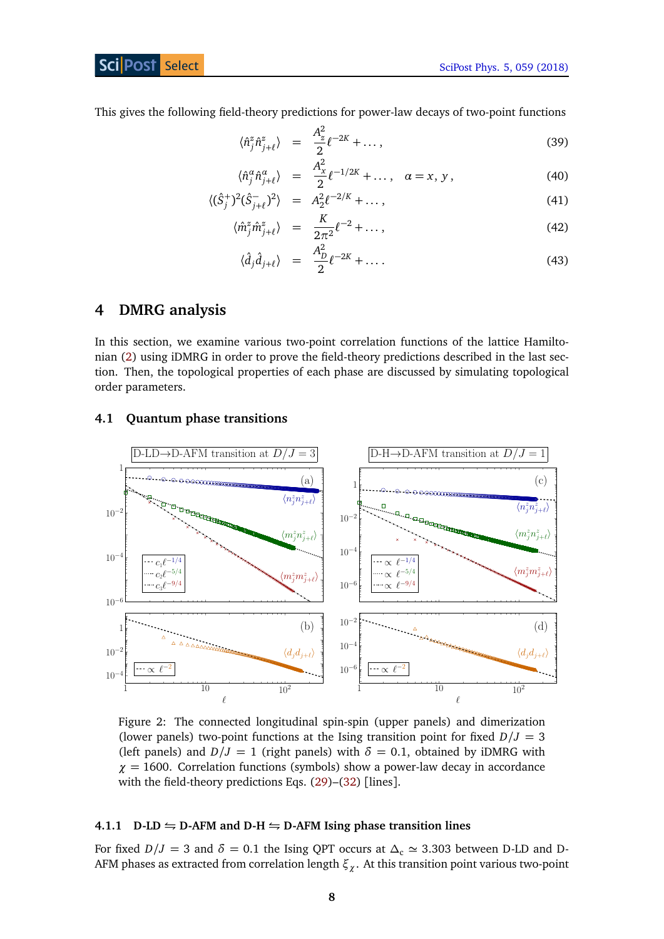## **Sci Post [Select](https://scipost.org)**

This gives the following field-theory predictions for power-law decays of two-point functions

<span id="page-7-4"></span>
$$
\langle \hat{n}_j^z \hat{n}_{j+\ell}^z \rangle = \frac{A_z^2}{2} \ell^{-2K} + \dots, \tag{39}
$$

$$
\langle \hat{n}_j^{\alpha} \hat{n}_{j+\ell}^{\alpha} \rangle = \frac{A_x^2}{2} \ell^{-1/2K} + \dots, \quad \alpha = x, y,
$$
 (40)

$$
\langle (\hat{S}_j^+)^2 (\hat{S}_{j+\ell}^-)^2 \rangle = A_2^2 \ell^{-2/K} + \dots, \tag{41}
$$

$$
\langle \hat{m}_j^z \hat{m}_{j+\ell}^z \rangle = \frac{K}{2\pi^2} \ell^{-2} + \dots, \tag{42}
$$

$$
\langle \hat{d}_j \hat{d}_{j+\ell} \rangle = \frac{A_D^2}{2} \ell^{-2K} + \dots \tag{43}
$$

## <span id="page-7-0"></span>**4 DMRG analysis**

In this section, we examine various two-point correlation functions of the lattice Hamiltonian [\(2\)](#page-1-2) using iDMRG in order to prove the field-theory predictions described in the last section. Then, the topological properties of each phase are discussed by simulating topological order parameters.

### <span id="page-7-1"></span>**4.1 Quantum phase transitions**

<span id="page-7-3"></span>

Figure 2: The connected longitudinal spin-spin (upper panels) and dimerization (lower panels) two-point functions at the Ising transition point for fixed  $D/J = 3$ (left panels) and  $D/J = 1$  (right panels) with  $\delta = 0.1$ , obtained by iDMRG with  $\chi$  = 1600. Correlation functions (symbols) show a power-law decay in accordance with the field-theory predictions Eqs. [\(29\)](#page-6-2)–[\(32\)](#page-6-3) [lines].

### <span id="page-7-2"></span>**4.1.1 D-LD**  $\leftrightharpoons$  **D-AFM** and **D-H**  $\leftrightharpoons$  **D-AFM** Ising phase transition lines

For fixed *D*/*J* = 3 and  $\delta$  = 0.1 the Ising QPT occurs at  $\Delta_c \approx 3.303$  between D-LD and D-AFM phases as extracted from correlation length *ξχ*. At this transition point various two-point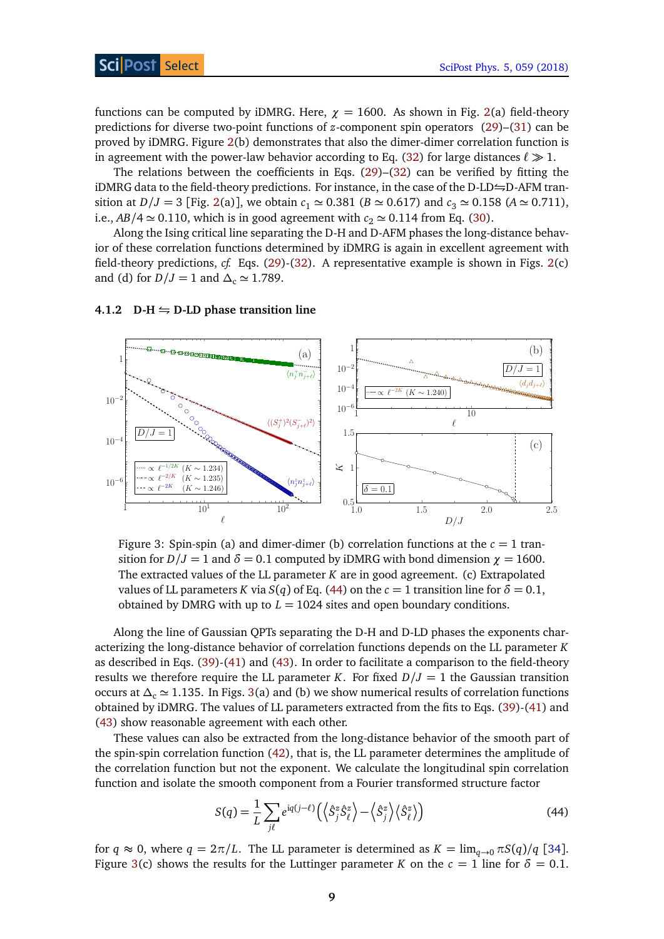functions can be computed by iDMRG. Here,  $\chi = 1600$ . As shown in Fig. [2\(](#page-7-3)a) field-theory predictions for diverse two-point functions of *z*-component spin operators [\(29\)](#page-6-2)–[\(31\)](#page-6-2) can be proved by iDMRG. Figure [2\(](#page-7-3)b) demonstrates that also the dimer-dimer correlation function is in agreement with the power-law behavior according to Eq. [\(32\)](#page-6-3) for large distances  $\ell \gg 1$ .

The relations between the coefficients in Eqs. [\(29\)](#page-6-2)–[\(32\)](#page-6-3) can be verified by fitting the iDMRG data to the field-theory predictions. For instance, in the case of the D-LD=D-AFM transition at *D*/*J* = 3 [Fig. [2\(](#page-7-3)a)], we obtain  $c_1 \approx 0.381$  (*B*  $\approx 0.617$ ) and  $c_3 \approx 0.158$  (*A*  $\approx 0.711$ ), i.e.,  $AB/4 \simeq 0.110$ , which is in good agreement with  $c_2 \simeq 0.114$  from Eq. [\(30\)](#page-6-2).

Along the Ising critical line separating the D-H and D-AFM phases the long-distance behavior of these correlation functions determined by iDMRG is again in excellent agreement with field-theory predictions, *cf.* Eqs. [\(29\)](#page-6-2)-[\(32\)](#page-6-3). A representative example is shown in Figs. [2\(](#page-7-3)c) and (d) for  $D/J = 1$  and  $\Delta_c \approx 1.789$ .

#### <span id="page-8-2"></span> $10^1$   $10^2$ 10<sup>−</sup><sup>6</sup> 10<sup>-4</sup> 10<sup>−</sup><sup>2</sup> 1  $\ell$  $\ell^{-1/2K}$  (K ∼ 1.234)<br> $\ell^{-2/K}$  (K − 1.225)  $\frac{N-2/K}{(K)}$   $(K \sim 1.235)$  $(K \sim 1.246)$ (a)  $D/J=1$  $\langle n_i^z \rangle$ z,  $\frac{z_j}{j}n^z_j$ z  $\binom{z}{j+\ell}$  $\langle n_i^+$  $+$  $j^+n^-_j$ −  $\bar{j}+\ell\rangle$  $\langle (S_j^+)^2 (S_{j+\ell}^-)^2 \rangle$  $^{2}$  $10^{-6}$  1 10 10<sup>−</sup><sup>4</sup> 10<sup>−</sup><sup>2</sup> 1  $\sqrt{2}$  $(K \sim 1.240)$ (b)  $D/J=1$  $\langle d_i d_j \rangle$  $1.0$  1.5 2.0 2.5  $0.5 -$ 1 1.5  $D/J$ K(c)  $\delta = 0.1$

#### <span id="page-8-0"></span>**4.1.2 D-H**  $\leq$  **D-LD** phase transition line

Figure 3: Spin-spin (a) and dimer-dimer (b) correlation functions at the  $c = 1$  transition for  $D/J = 1$  and  $\delta = 0.1$  computed by iDMRG with bond dimension  $\chi = 1600$ . The extracted values of the LL parameter *K* are in good agreement. (c) Extrapolated values of LL parameters *K* via *S*(*q*) of Eq. [\(44\)](#page-8-1) on the *c* = 1 transition line for  $\delta$  = 0.1, obtained by DMRG with up to  $L = 1024$  sites and open boundary conditions.

Along the line of Gaussian QPTs separating the D-H and D-LD phases the exponents characterizing the long-distance behavior of correlation functions depends on the LL parameter *K* as described in Eqs. [\(39\)](#page-7-4)-[\(41\)](#page-7-4) and [\(43\)](#page-7-4). In order to facilitate a comparison to the field-theory results we therefore require the LL parameter *K*. For fixed  $D/J = 1$  the Gaussian transition occurs at  $\Delta_c$   $\simeq$  1.135. In Figs. [3\(](#page-8-2)a) and (b) we show numerical results of correlation functions obtained by iDMRG. The values of LL parameters extracted from the fits to Eqs. [\(39\)](#page-7-4)-[\(41\)](#page-7-4) and [\(43\)](#page-7-4) show reasonable agreement with each other.

These values can also be extracted from the long-distance behavior of the smooth part of the spin-spin correlation function [\(42\)](#page-7-4), that is, the LL parameter determines the amplitude of the correlation function but not the exponent. We calculate the longitudinal spin correlation function and isolate the smooth component from a Fourier transformed structure factor

<span id="page-8-1"></span>
$$
S(q) = \frac{1}{L} \sum_{j\ell} e^{iq(j-\ell)} \left( \left\langle \hat{S}_j^z \hat{S}_\ell^z \right\rangle - \left\langle \hat{S}_j^z \right\rangle \left\langle \hat{S}_\ell^z \right\rangle \right) \tag{44}
$$

for  $q \approx 0$ , where  $q = 2\pi/L$ . The LL parameter is determined as  $K = \lim_{q \to 0} \pi S(q)/q$  [[34](#page-17-2)]. Figure [3\(](#page-8-2)c) shows the results for the Luttinger parameter *K* on the  $c = 1$  line for  $\delta = 0.1$ .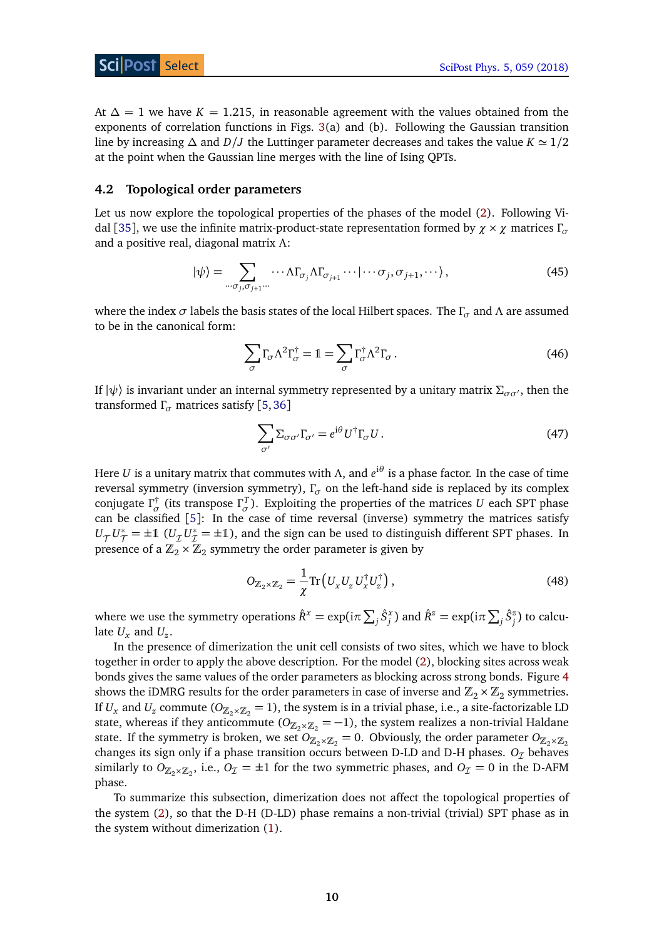At  $\Delta = 1$  we have  $K = 1.215$ , in reasonable agreement with the values obtained from the exponents of correlation functions in Figs. [3\(](#page-8-2)a) and (b). Following the Gaussian transition line by increasing  $\Delta$  and  $D/J$  the Luttinger parameter decreases and takes the value  $K \simeq 1/2$ at the point when the Gaussian line merges with the line of Ising QPTs.

## <span id="page-9-0"></span>**4.2 Topological order parameters**

Let us now explore the topological properties of the phases of the model [\(2\)](#page-1-2). Following Vidal [[35](#page-17-3)], we use the infinite matrix-product-state representation formed by *χ* × *χ* matrices *Γ<sup>σ</sup>* and a positive real, diagonal matrix *Λ*:

$$
|\psi\rangle = \sum_{\cdots \sigma_j, \sigma_{j+1}\cdots} \cdots \Lambda \Gamma_{\sigma_j} \Lambda \Gamma_{\sigma_{j+1}} \cdots |\cdots \sigma_j, \sigma_{j+1}, \cdots \rangle, \tag{45}
$$

where the index *σ* labels the basis states of the local Hilbert spaces. The *Γ<sup>σ</sup>* and *Λ* are assumed to be in the canonical form:

$$
\sum_{\sigma} \Gamma_{\sigma} \Lambda^2 \Gamma_{\sigma}^{\dagger} = 1 = \sum_{\sigma} \Gamma_{\sigma}^{\dagger} \Lambda^2 \Gamma_{\sigma} . \tag{46}
$$

If  $|\psi\rangle$  is invariant under an internal symmetry represented by a unitary matrix  $\Sigma_{\sigma\sigma'}$ , then the transformed *Γ<sup>σ</sup>* matrices satisfy [[5,](#page-15-4)[36](#page-17-4)]

$$
\sum_{\sigma'} \Sigma_{\sigma \sigma'} \Gamma_{\sigma'} = e^{i\theta} U^{\dagger} \Gamma_{\sigma} U. \tag{47}
$$

Here *U* is a unitary matrix that commutes with *Λ*, and *e* i*θ* is a phase factor. In the case of time reversal symmetry (inversion symmetry), *Γ<sup>σ</sup>* on the left-hand side is replaced by its complex conjugate  $\Gamma_{\sigma}^{\dagger}$  (its transpose  $\Gamma_{\sigma}^{T}$ ). Exploiting the properties of the matrices *U* each SPT phase can be classified [[5](#page-15-4)]: In the case of time reversal (inverse) symmetry the matrices satisfy  $U_{\mathcal{T}}U_{\mathcal{T}}^* = \pm 1$  ( $U_{\mathcal{I}}U_{\mathcal{I}}^* = \pm 1$ ), and the sign can be used to distinguish different SPT phases. In presence of a  $\mathbb{Z}_2^{\infty} \times \mathbb{Z}_2$  symmetry the order parameter is given by

$$
O_{\mathbb{Z}_2 \times \mathbb{Z}_2} = \frac{1}{\chi} \text{Tr} \left( U_x U_z U_x^{\dagger} U_z^{\dagger} \right), \tag{48}
$$

where we use the symmetry operations  $\hat{R}^x = \exp(i\pi \sum_j \hat{S}^x_j)$  and  $\hat{R}^z = \exp(i\pi \sum_j \hat{S}^z_j)$  to calculate  $U_x$  and  $U_z$ .

In the presence of dimerization the unit cell consists of two sites, which we have to block together in order to apply the above description. For the model [\(2\)](#page-1-2), blocking sites across weak bonds gives the same values of the order parameters as blocking across strong bonds. Figure [4](#page-10-2) shows the iDMRG results for the order parameters in case of inverse and  $\mathbb{Z}_2\times\mathbb{Z}_2$  symmetries. If  $U_x$  and  $U_z$  commute ( $O_{\mathbb{Z}_2 \times \mathbb{Z}_2} = 1$ ), the system is in a trivial phase, i.e., a site-factorizable LD state, whereas if they anticommute ( $O_{\mathbb{Z}_2 \times \mathbb{Z}_2} = -1$ ), the system realizes a non-trivial Haldane state. If the symmetry is broken, we set  $O_{\mathbb{Z}_2 \times \mathbb{Z}_2} = 0$ . Obviously, the order parameter  $O_{\mathbb{Z}_2 \times \mathbb{Z}_2}$ changes its sign only if a phase transition occurs between D-LD and D-H phases.  $O_{\mathcal{I}}$  behaves similarly to  $O_{\mathbb{Z}_2 \times \mathbb{Z}_2}$ , i.e.,  $O_{\mathcal{I}} = \pm 1$  for the two symmetric phases, and  $O_{\mathcal{I}} = 0$  in the D-AFM phase.

To summarize this subsection, dimerization does not affect the topological properties of the system [\(2\)](#page-1-2), so that the D-H (D-LD) phase remains a non-trivial (trivial) SPT phase as in the system without dimerization [\(1\)](#page-1-1).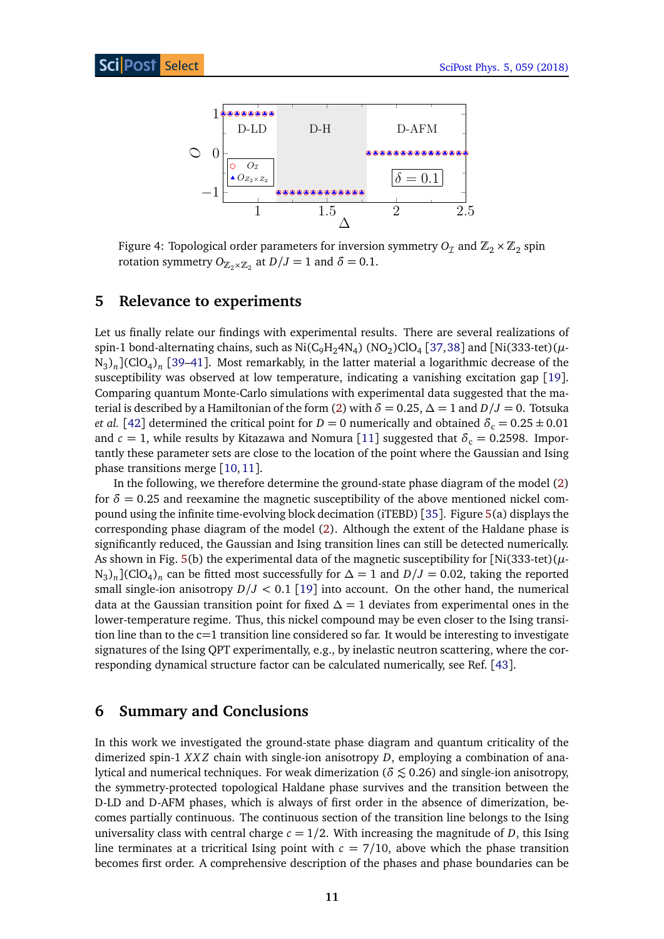<span id="page-10-2"></span>

Figure 4: Topological order parameters for inversion symmetry  $O_\mathcal{I}$  and  $\mathbb{Z}_2 \times \mathbb{Z}_2$  spin rotation symmetry  $O_{\mathbb{Z}_2 \times \mathbb{Z}_2}$  at  $D/J = 1$  and  $\delta = 0.1.$ 

## <span id="page-10-0"></span>**5 Relevance to experiments**

Let us finally relate our findings with experimental results. There are several realizations of spin-1 bond-alternating chains, such as  $\rm Ni(C_9H_24N_4)$   $\rm (NO_2)ClO_4$  [[37,](#page-17-5)[38](#page-17-6)] and [Ni(333-tet) $\rm (\mu$ -N<sub>3</sub>)<sub>n</sub>](ClO<sub>4</sub>)<sub>n</sub> [[39–](#page-17-7)[41](#page-17-8)]. Most remarkably, in the latter material a logarithmic decrease of the susceptibility was observed at low temperature, indicating a vanishing excitation gap [[19](#page-16-4)]. Comparing quantum Monte-Carlo simulations with experimental data suggested that the ma-terial is described by a Hamiltonian of the form [\(2\)](#page-1-2) with  $\delta = 0.25$ ,  $\Delta = 1$  and  $D/J = 0$ . Totsuka *et al.* [[42](#page-17-9)] determined the critical point for *D* = 0 numerically and obtained  $\delta_c = 0.25 \pm 0.01$ and  $c = 1$ , while results by Kitazawa and Nomura [[11](#page-15-10)] suggested that  $\delta_c = 0.2598$ . Importantly these parameter sets are close to the location of the point where the Gaussian and Ising phase transitions merge [[10,](#page-15-9)[11](#page-15-10)].

In the following, we therefore determine the ground-state phase diagram of the model [\(2\)](#page-1-2) for  $\delta = 0.25$  and reexamine the magnetic susceptibility of the above mentioned nickel compound using the infinite time-evolving block decimation (iTEBD) [[35](#page-17-3)]. Figure [5\(](#page-11-0)a) displays the corresponding phase diagram of the model [\(2\)](#page-1-2). Although the extent of the Haldane phase is significantly reduced, the Gaussian and Ising transition lines can still be detected numerically. As shown in Fig. [5\(](#page-11-0)b) the experimental data of the magnetic susceptibility for [Ni(333-tet)( $\mu$ - $N_3$ <sub>*n*</sub>](ClO<sub>4</sub>)<sub>*n*</sub> can be fitted most successfully for  $\Delta = 1$  and  $D/J = 0.02$ , taking the reported small single-ion anisotropy *D/J <* 0.1 [[19](#page-16-4)] into account. On the other hand, the numerical data at the Gaussian transition point for fixed  $\Delta = 1$  deviates from experimental ones in the lower-temperature regime. Thus, this nickel compound may be even closer to the Ising transition line than to the  $c=1$  transition line considered so far. It would be interesting to investigate signatures of the Ising QPT experimentally, e.g., by inelastic neutron scattering, where the corresponding dynamical structure factor can be calculated numerically, see Ref. [[43](#page-17-10)].

## <span id="page-10-1"></span>**6 Summary and Conclusions**

In this work we investigated the ground-state phase diagram and quantum criticality of the dimerized spin-1 *X X Z* chain with single-ion anisotropy *D*, employing a combination of analytical and numerical techniques. For weak dimerization ( $\delta \lesssim 0.26$ ) and single-ion anisotropy, the symmetry-protected topological Haldane phase survives and the transition between the D-LD and D-AFM phases, which is always of first order in the absence of dimerization, becomes partially continuous. The continuous section of the transition line belongs to the Ising universality class with central charge  $c = 1/2$ . With increasing the magnitude of *D*, this Ising line terminates at a tricritical Ising point with  $c = 7/10$ , above which the phase transition becomes first order. A comprehensive description of the phases and phase boundaries can be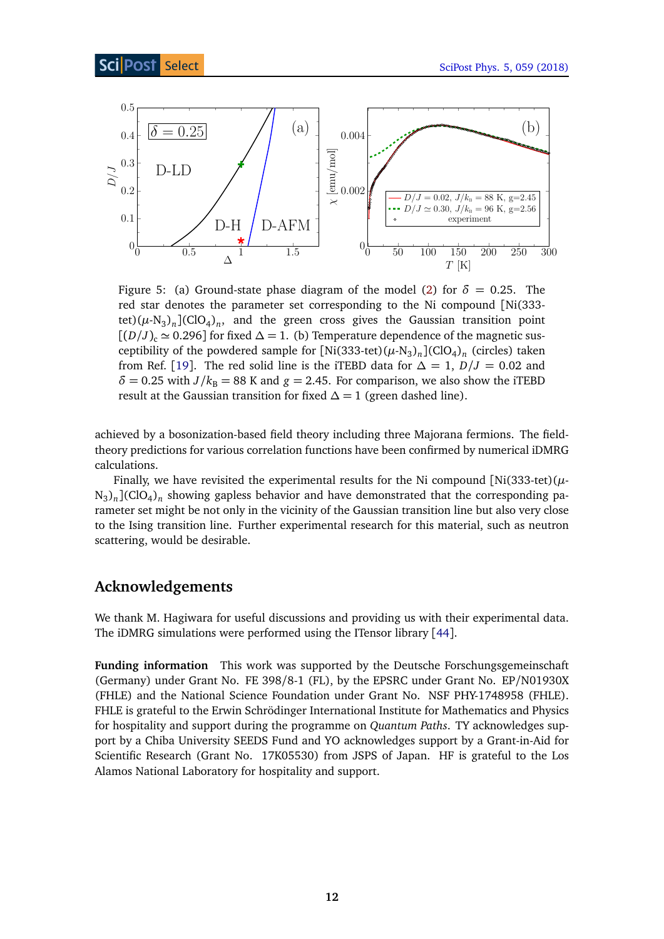<span id="page-11-0"></span>

Figure 5: (a) Ground-state phase diagram of the model [\(2\)](#page-1-2) for  $\delta = 0.25$ . The red star denotes the parameter set corresponding to the Ni compound [Ni(333 tet) $(\mu$ -N<sub>3</sub>)<sub>n</sub>](ClO<sub>4</sub>)<sub>n</sub>, and the green cross gives the Gaussian transition point  $[(D/J)_c \simeq 0.296]$  for fixed  $\Delta = 1$ . (b) Temperature dependence of the magnetic susceptibility of the powdered sample for  $\left[\text{Ni}(333\text{-tet})(\mu\text{-N}_3)_n\right]\left(\text{ClO}_4\right)_n$  (circles) taken from Ref. [[19](#page-16-4)]. The red solid line is the iTEBD data for  $\Delta = 1$ ,  $D/J = 0.02$  and  $\delta$  = 0.25 with *J*/ $k_B$  = 88 K and *g* = 2.45. For comparison, we also show the iTEBD result at the Gaussian transition for fixed  $\Delta = 1$  (green dashed line).

achieved by a bosonization-based field theory including three Majorana fermions. The fieldtheory predictions for various correlation functions have been confirmed by numerical iDMRG calculations.

Finally, we have revisited the experimental results for the Ni compound  $\left[\text{Ni}(333\text{-}\text{tet})\right](\mu$ -N3 )*n* ](ClO<sup>4</sup> )*n* showing gapless behavior and have demonstrated that the corresponding parameter set might be not only in the vicinity of the Gaussian transition line but also very close to the Ising transition line. Further experimental research for this material, such as neutron scattering, would be desirable.

## **Acknowledgements**

We thank M. Hagiwara for useful discussions and providing us with their experimental data. The iDMRG simulations were performed using the ITensor library [[44](#page-17-11)].

**Funding information** This work was supported by the Deutsche Forschungsgemeinschaft (Germany) under Grant No. FE 398/8-1 (FL), by the EPSRC under Grant No. EP/N01930X (FHLE) and the National Science Foundation under Grant No. NSF PHY-1748958 (FHLE). FHLE is grateful to the Erwin Schrödinger International Institute for Mathematics and Physics for hospitality and support during the programme on *Quantum Paths*. TY acknowledges support by a Chiba University SEEDS Fund and YO acknowledges support by a Grant-in-Aid for Scientific Research (Grant No. 17K05530) from JSPS of Japan. HF is grateful to the Los Alamos National Laboratory for hospitality and support.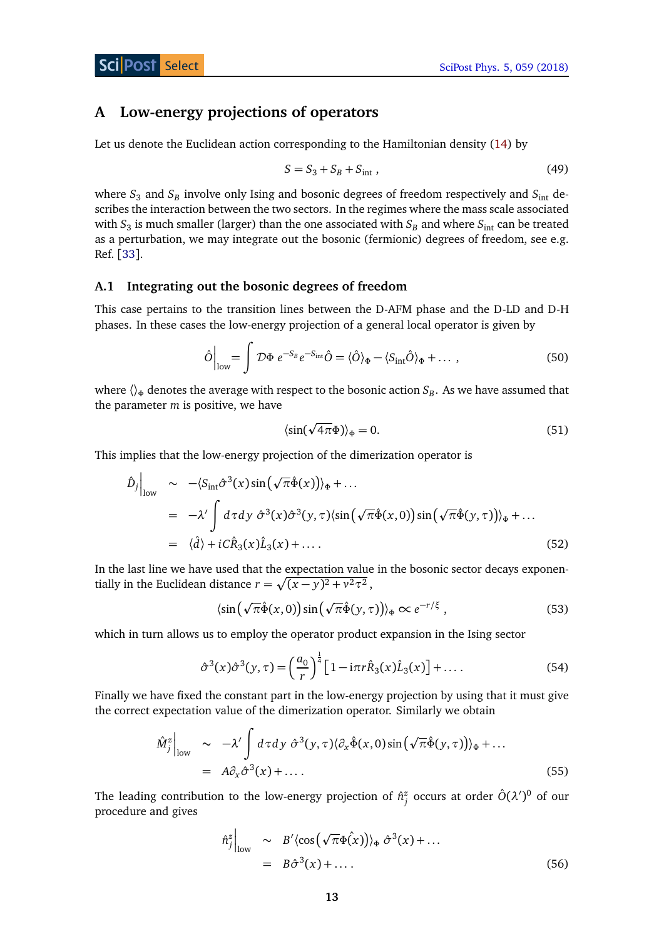## <span id="page-12-0"></span>**A Low-energy projections of operators**

Let us denote the Euclidean action corresponding to the Hamiltonian density [\(14\)](#page-4-1) by

$$
S = S_3 + S_B + S_{\text{int}} \,,\tag{49}
$$

where  $S_3$  and  $S_B$  involve only Ising and bosonic degrees of freedom respectively and  $S_{\rm int}$  describes the interaction between the two sectors. In the regimes where the mass scale associated with  $S_3$  is much smaller (larger) than the one associated with  $S_B$  and where  $S_{\rm int}$  can be treated as a perturbation, we may integrate out the bosonic (fermionic) degrees of freedom, see e.g. Ref. [[33](#page-17-1)].

## <span id="page-12-1"></span>**A.1 Integrating out the bosonic degrees of freedom**

This case pertains to the transition lines between the D-AFM phase and the D-LD and D-H phases. In these cases the low-energy projection of a general local operator is given by

$$
\hat{O}\Big|_{\text{low}} = \int \mathcal{D}\Phi \ e^{-S_B} e^{-S_{\text{int}}}\hat{O} = \langle \hat{O} \rangle_{\Phi} - \langle S_{\text{int}}\hat{O} \rangle_{\Phi} + \dots \,, \tag{50}
$$

where  $\langle \rangle_{\Phi}$  denotes the average with respect to the bosonic action  $S_{B}$ . As we have assumed that the parameter *m* is positive, we have

$$
\langle \sin(\sqrt{4\pi}\Phi) \rangle_{\Phi} = 0. \tag{51}
$$

This implies that the low-energy projection of the dimerization operator is

$$
\hat{D}_j\Big|_{\text{low}} \sim -\langle S_{\text{int}}\hat{\sigma}^3(x)\sin(\sqrt{\pi}\hat{\Phi}(x))\rangle_{\Phi} + \dots
$$
\n
$$
= -\lambda' \int d\tau dy \; \hat{\sigma}^3(x)\hat{\sigma}^3(y,\tau)\langle\sin(\sqrt{\pi}\hat{\Phi}(x,0))\sin(\sqrt{\pi}\hat{\Phi}(y,\tau))\rangle_{\Phi} + \dots
$$
\n
$$
= \langle \hat{d} \rangle + iC\hat{R}_3(x)\hat{L}_3(x) + \dots. \tag{52}
$$

In the last line we have used that the expectation value in the bosonic sector decays exponentially in the Euclidean distance  $r = \sqrt{(x - y)^2 + v^2 \tau^2}$ ,

$$
\langle \sin\left(\sqrt{\pi}\hat{\Phi}(x,0)\right)\sin\left(\sqrt{\pi}\hat{\Phi}(y,\tau)\right)\rangle_{\Phi} \propto e^{-r/\xi},\qquad(53)
$$

which in turn allows us to employ the operator product expansion in the Ising sector

$$
\hat{\sigma}^3(x)\hat{\sigma}^3(y,\tau) = \left(\frac{a_0}{r}\right)^{\frac{1}{4}} \left[1 - i\pi r \hat{R}_3(x)\hat{L}_3(x)\right] + \dots
$$
 (54)

Finally we have fixed the constant part in the low-energy projection by using that it must give the correct expectation value of the dimerization operator. Similarly we obtain

$$
\hat{M}_{j}^{z}\Big|_{\text{low}} \sim -\lambda' \int d\tau dy \; \hat{\sigma}^{3}(y,\tau) \langle \partial_{x} \hat{\Phi}(x,0) \sin(\sqrt{\pi} \hat{\Phi}(y,\tau)) \rangle_{\Phi} + \dots \n= A \partial_{x} \hat{\sigma}^{3}(x) + \dots. \tag{55}
$$

The leading contribution to the low-energy projection of  $\hat{n}^z_j$  occurs at order  $\hat{O}(\lambda')^0$  of our procedure and gives

$$
\hat{n}_j^z\Big|_{\text{low}} \sim B' \langle \cos(\sqrt{\pi} \Phi(x)) \rangle_{\Phi} \hat{\sigma}^3(x) + \dots \n= B \hat{\sigma}^3(x) + \dots
$$
\n(56)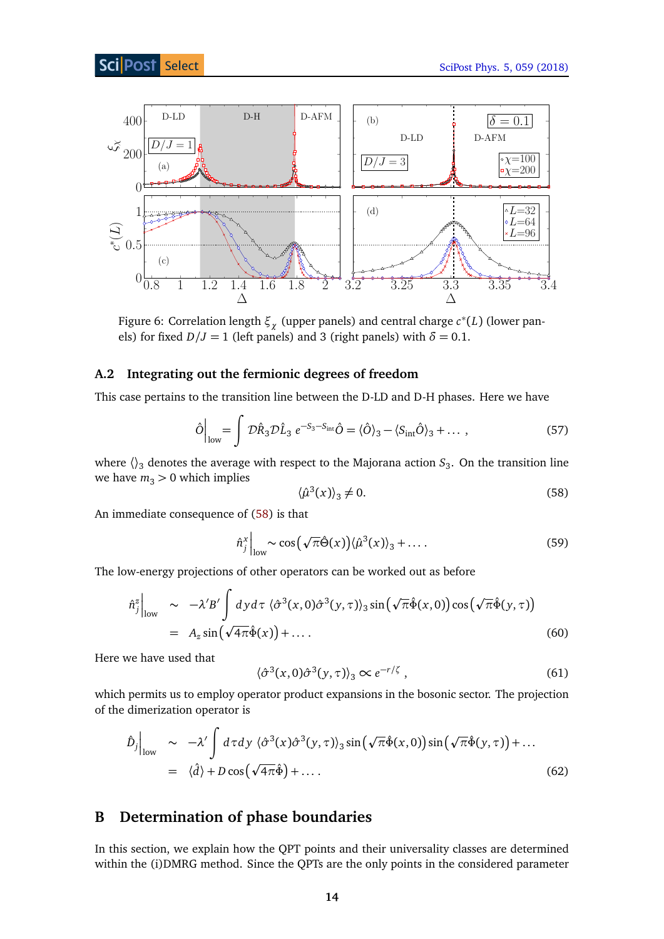

<span id="page-13-3"></span>

Figure 6: Correlation length *ξ<sup>χ</sup>* (upper panels) and central charge *c* ∗ (*L*) (lower panels) for fixed  $D/J = 1$  (left panels) and 3 (right panels) with  $\delta = 0.1$ .

### <span id="page-13-0"></span>**A.2 Integrating out the fermionic degrees of freedom**

This case pertains to the transition line between the D-LD and D-H phases. Here we have

$$
\hat{O}\Big|_{\text{low}} = \int \mathcal{D}\hat{R}_3 \mathcal{D}\hat{L}_3 \ e^{-S_3 - S_{\text{int}}} \hat{O} = \langle \hat{O} \rangle_3 - \langle S_{\text{int}} \hat{O} \rangle_3 + \dots \,, \tag{57}
$$

where  $\langle \rangle_3$  denotes the average with respect to the Majorana action  $\mathcal{S}_3$ . On the transition line we have  $m_3 > 0$  which implies

<span id="page-13-2"></span>
$$
\langle \hat{\mu}^3(x) \rangle_3 \neq 0. \tag{58}
$$

An immediate consequence of [\(58\)](#page-13-2) is that

$$
\left.\hat{n}_j^x\right|_{\text{low}} \sim \cos\left(\sqrt{\pi}\hat{\Theta}(x)\right) \langle \hat{\mu}^3(x) \rangle_3 + \dots \tag{59}
$$

The low-energy projections of other operators can be worked out as before

$$
\hat{n}_j^z\Big|_{\text{low}} \sim -\lambda' B' \int dy d\tau \, \langle \hat{\sigma}^3(x,0) \hat{\sigma}^3(y,\tau) \rangle_3 \sin\left(\sqrt{\pi} \hat{\Phi}(x,0)\right) \cos\left(\sqrt{\pi} \hat{\Phi}(y,\tau)\right) \n= A_z \sin\left(\sqrt{4\pi} \hat{\Phi}(x)\right) + \dots
$$
\n(60)

Here we have used that

$$
\langle \hat{\sigma}^3(x,0)\hat{\sigma}^3(y,\tau) \rangle_3 \propto e^{-r/\zeta},\tag{61}
$$

which permits us to employ operator product expansions in the bosonic sector. The projection of the dimerization operator is

$$
\hat{D}_j\Big|_{\text{low}} \sim -\lambda' \int d\tau dy \, \langle \hat{\sigma}^3(x) \hat{\sigma}^3(y,\tau) \rangle_3 \sin\left(\sqrt{\pi} \hat{\Phi}(x,0)\right) \sin\left(\sqrt{\pi} \hat{\Phi}(y,\tau)\right) + \dots \n= \langle \hat{d} \rangle + D \cos\left(\sqrt{4\pi} \hat{\Phi}\right) + \dots
$$
\n(62)

# <span id="page-13-1"></span>**B Determination of phase boundaries**

In this section, we explain how the QPT points and their universality classes are determined within the (i)DMRG method. Since the QPTs are the only points in the considered parameter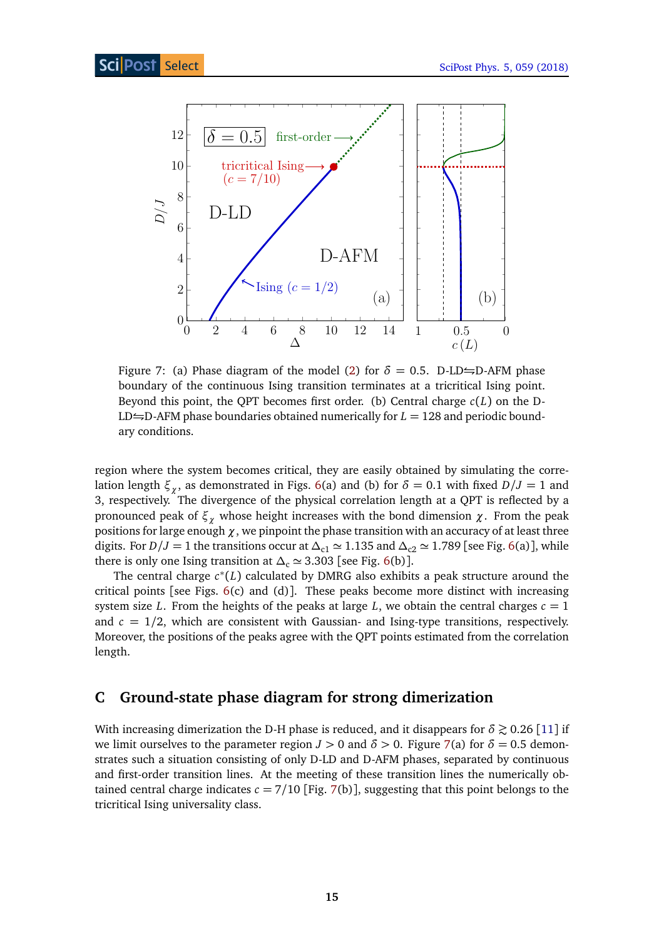<span id="page-14-1"></span>

Figure 7: (a) Phase diagram of the model [\(2\)](#page-1-2) for  $\delta = 0.5$ . D-LD $\rightleftharpoons$ D-AFM phase boundary of the continuous Ising transition terminates at a tricritical Ising point. Beyond this point, the QPT becomes first order. (b) Central charge  $c(L)$  on the D- $LD\rightleftharpoons$ D-AFM phase boundaries obtained numerically for  $L = 128$  and periodic boundary conditions.

region where the system becomes critical, they are easily obtained by simulating the correlation length  $\xi$ <sup>*x*</sup>, as demonstrated in Figs. [6\(](#page-13-3)a) and (b) for  $\delta = 0.1$  with fixed  $D/J = 1$  and 3, respectively. The divergence of the physical correlation length at a QPT is reflected by a pronounced peak of  $ξ_χ$  whose height increases with the bond dimension  $χ$ . From the peak positions for large enough *χ*, we pinpoint the phase transition with an accuracy of at least three digits. For *D*/*J* = 1 the transitions occur at  $\Delta_{c1} \simeq 1.135$  and  $\Delta_{c2} \simeq 1.789$  [see Fig. [6\(](#page-13-3)a)], while there is only one Ising transition at  $\Delta_c$   $\simeq$  3.303 [see Fig. [6\(](#page-13-3)b)].

The central charge  $c^*(L)$  calculated by DMRG also exhibits a peak structure around the critical points [see Figs.  $6(c)$  $6(c)$  and  $(d)$ ]. These peaks become more distinct with increasing system size *L*. From the heights of the peaks at large *L*, we obtain the central charges  $c = 1$ and  $c = 1/2$ , which are consistent with Gaussian- and Ising-type transitions, respectively. Moreover, the positions of the peaks agree with the QPT points estimated from the correlation length.

## <span id="page-14-0"></span>**C Ground-state phase diagram for strong dimerization**

With increasing dimerization the D-H phase is reduced, and it disappears for  $\delta \gtrsim 0.26$  [[11](#page-15-10)] if we limit ourselves to the parameter region  $J > 0$  and  $\delta > 0$ . Figure [7\(](#page-14-1)a) for  $\delta = 0.5$  demonstrates such a situation consisting of only D-LD and D-AFM phases, separated by continuous and first-order transition lines. At the meeting of these transition lines the numerically obtained central charge indicates  $c = 7/10$  [Fig. [7\(](#page-14-1)b)], suggesting that this point belongs to the tricritical Ising universality class.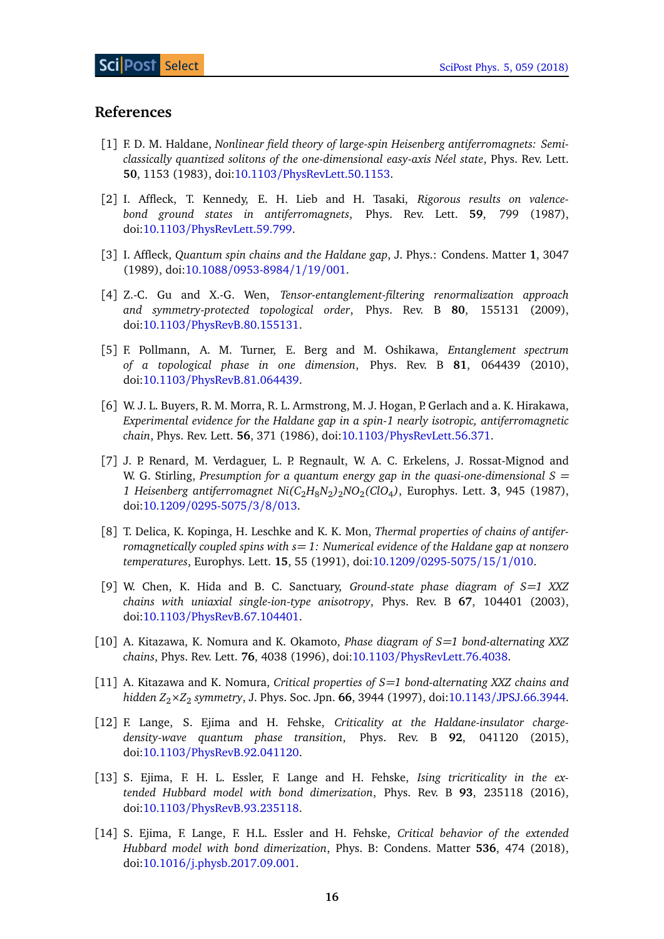## **References**

- <span id="page-15-0"></span>[1] F. D. M. Haldane, *Nonlinear field theory of large-spin Heisenberg antiferromagnets: Semiclassically quantized solitons of the one-dimensional easy-axis Néel state*, Phys. Rev. Lett. **50**, 1153 (1983), doi:10.1103/[PhysRevLett.50.1153.](http://dx.doi.org/10.1103/PhysRevLett.50.1153)
- <span id="page-15-1"></span>[2] I. Affleck, T. Kennedy, E. H. Lieb and H. Tasaki, *Rigorous results on valencebond ground states in antiferromagnets*, Phys. Rev. Lett. **59**, 799 (1987), doi:10.1103/[PhysRevLett.59.799.](http://dx.doi.org/10.1103/PhysRevLett.59.799)
- <span id="page-15-2"></span>[3] I. Affleck, *Quantum spin chains and the Haldane gap*, J. Phys.: Condens. Matter **1**, 3047 (1989), doi:10.1088/[0953-8984](http://dx.doi.org/10.1088/0953-8984/1/19/001)/1/19/001.
- <span id="page-15-3"></span>[4] Z.-C. Gu and X.-G. Wen, *Tensor-entanglement-filtering renormalization approach and symmetry-protected topological order*, Phys. Rev. B **80**, 155131 (2009), doi:10.1103/[PhysRevB.80.155131.](http://dx.doi.org/10.1103/PhysRevB.80.155131)
- <span id="page-15-4"></span>[5] F. Pollmann, A. M. Turner, E. Berg and M. Oshikawa, *Entanglement spectrum of a topological phase in one dimension*, Phys. Rev. B **81**, 064439 (2010), doi:10.1103/[PhysRevB.81.064439.](http://dx.doi.org/10.1103/PhysRevB.81.064439)
- <span id="page-15-5"></span>[6] W. J. L. Buyers, R. M. Morra, R. L. Armstrong, M. J. Hogan, P. Gerlach and a. K. Hirakawa, *Experimental evidence for the Haldane gap in a spin-1 nearly isotropic, antiferromagnetic chain*, Phys. Rev. Lett. **56**, 371 (1986), doi:10.1103/[PhysRevLett.56.371.](http://dx.doi.org/10.1103/PhysRevLett.56.371)
- <span id="page-15-6"></span>[7] J. P. Renard, M. Verdaguer, L. P. Regnault, W. A. C. Erkelens, J. Rossat-Mignod and W. G. Stirling, *Presumption for a quantum energy gap in the quasi-one-dimensional S = 1 Heisenberg antiferromagnet Ni(C*2*H*8*N*<sup>2</sup> *)*2*NO*<sup>2</sup> *(ClO*<sup>4</sup> *)*, Europhys. Lett. **3**, 945 (1987), doi:10.1209/[0295-5075](http://dx.doi.org/10.1209/0295-5075/3/8/013)/3/8/013.
- <span id="page-15-7"></span>[8] T. Delica, K. Kopinga, H. Leschke and K. K. Mon, *Thermal properties of chains of antiferromagnetically coupled spins with s= 1: Numerical evidence of the Haldane gap at nonzero temperatures*, Europhys. Lett. **15**, 55 (1991), doi:10.1209/[0295-5075](http://dx.doi.org/10.1209/0295-5075/15/1/010)/15/1/010.
- <span id="page-15-8"></span>[9] W. Chen, K. Hida and B. C. Sanctuary, *Ground-state phase diagram of S=1 XXZ chains with uniaxial single-ion-type anisotropy*, Phys. Rev. B **67**, 104401 (2003), doi:10.1103/[PhysRevB.67.104401.](http://dx.doi.org/10.1103/PhysRevB.67.104401)
- <span id="page-15-9"></span>[10] A. Kitazawa, K. Nomura and K. Okamoto, *Phase diagram of S=1 bond-alternating XXZ chains*, Phys. Rev. Lett. **76**, 4038 (1996), doi:10.1103/[PhysRevLett.76.4038.](http://dx.doi.org/10.1103/PhysRevLett.76.4038)
- <span id="page-15-10"></span>[11] A. Kitazawa and K. Nomura, *Critical properties of S=1 bond-alternating XXZ chains and hidden Z*2×*Z*<sup>2</sup> *symmetry*, J. Phys. Soc. Jpn. **66**, 3944 (1997), doi:10.1143/[JPSJ.66.3944.](http://dx.doi.org/10.1143/JPSJ.66.3944)
- <span id="page-15-11"></span>[12] F. Lange, S. Ejima and H. Fehske, *Criticality at the Haldane-insulator chargedensity-wave quantum phase transition*, Phys. Rev. B **92**, 041120 (2015), doi:10.1103/[PhysRevB.92.041120.](http://dx.doi.org/10.1103/PhysRevB.92.041120)
- <span id="page-15-13"></span>[13] S. Ejima, F. H. L. Essler, F. Lange and H. Fehske, *Ising tricriticality in the extended Hubbard model with bond dimerization*, Phys. Rev. B **93**, 235118 (2016), doi:10.1103/[PhysRevB.93.235118.](http://dx.doi.org/10.1103/PhysRevB.93.235118)
- <span id="page-15-12"></span>[14] S. Ejima, F. Lange, F. H.L. Essler and H. Fehske, *Critical behavior of the extended Hubbard model with bond dimerization*, Phys. B: Condens. Matter **536**, 474 (2018), doi:10.1016/[j.physb.2017.09.001.](http://dx.doi.org/10.1016/j.physb.2017.09.001)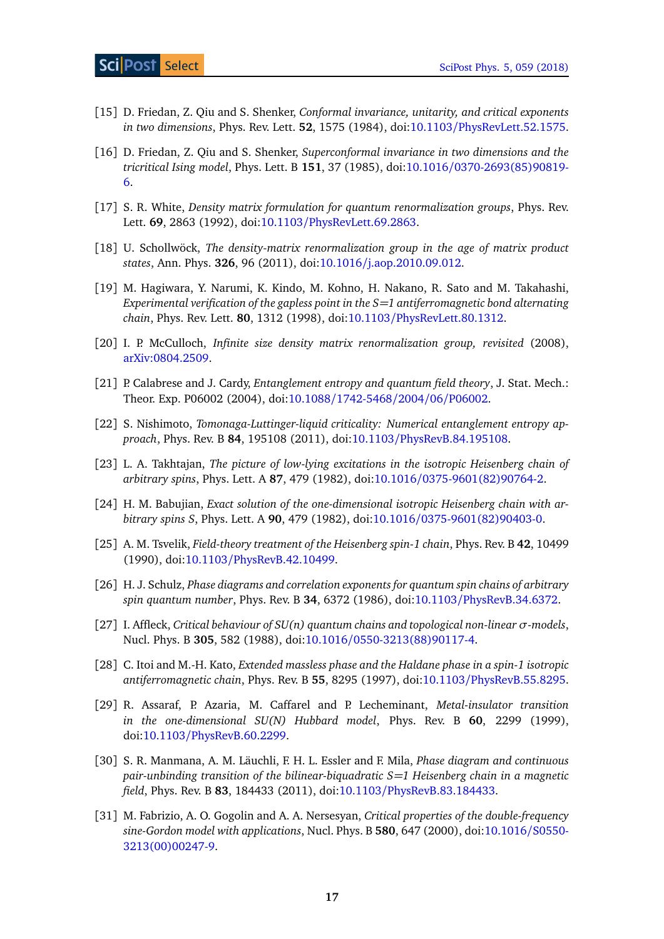## **Sci Post [Select](https://scipost.org)**

- <span id="page-16-0"></span>[15] D. Friedan, Z. Qiu and S. Shenker, *Conformal invariance, unitarity, and critical exponents in two dimensions*, Phys. Rev. Lett. **52**, 1575 (1984), doi:10.1103/[PhysRevLett.52.1575.](http://dx.doi.org/10.1103/PhysRevLett.52.1575)
- <span id="page-16-1"></span>[16] D. Friedan, Z. Qiu and S. Shenker, *Superconformal invariance in two dimensions and the tricritical Ising model*, Phys. Lett. B **151**, 37 (1985), doi:10.1016/[0370-2693\(85\)90819-](http://dx.doi.org/10.1016/0370-2693(85)90819-6) [6.](http://dx.doi.org/10.1016/0370-2693(85)90819-6)
- <span id="page-16-2"></span>[17] S. R. White, *Density matrix formulation for quantum renormalization groups*, Phys. Rev. Lett. **69**, 2863 (1992), doi:10.1103/[PhysRevLett.69.2863.](http://dx.doi.org/10.1103/PhysRevLett.69.2863)
- <span id="page-16-3"></span>[18] U. Schollwöck, *The density-matrix renormalization group in the age of matrix product states*, Ann. Phys. **326**, 96 (2011), doi:10.1016/[j.aop.2010.09.012.](http://dx.doi.org/10.1016/j.aop.2010.09.012)
- <span id="page-16-4"></span>[19] M. Hagiwara, Y. Narumi, K. Kindo, M. Kohno, H. Nakano, R. Sato and M. Takahashi, *Experimental verification of the gapless point in the S=1 antiferromagnetic bond alternating chain*, Phys. Rev. Lett. **80**, 1312 (1998), doi:10.1103/[PhysRevLett.80.1312.](http://dx.doi.org/10.1103/PhysRevLett.80.1312)
- <span id="page-16-5"></span>[20] I. P. McCulloch, *Infinite size density matrix renormalization group, revisited* (2008), [arXiv:0804.2509.](https://arxiv.org/abs/0804.2509)
- <span id="page-16-6"></span>[21] P. Calabrese and J. Cardy, *Entanglement entropy and quantum field theory*, J. Stat. Mech.: Theor. Exp. P06002 (2004), doi:10.1088/[1742-5468](http://dx.doi.org/10.1088/1742-5468/2004/06/P06002)/2004/06/P06002.
- <span id="page-16-7"></span>[22] S. Nishimoto, *Tomonaga-Luttinger-liquid criticality: Numerical entanglement entropy approach*, Phys. Rev. B **84**, 195108 (2011), doi:10.1103/[PhysRevB.84.195108.](http://dx.doi.org/10.1103/PhysRevB.84.195108)
- <span id="page-16-8"></span>[23] L. A. Takhtajan, *The picture of low-lying excitations in the isotropic Heisenberg chain of arbitrary spins*, Phys. Lett. A **87**, 479 (1982), doi:10.1016/[0375-9601\(82\)90764-2.](http://dx.doi.org/10.1016/0375-9601(82)90764-2)
- <span id="page-16-9"></span>[24] H. M. Babujian, *Exact solution of the one-dimensional isotropic Heisenberg chain with arbitrary spins S*, Phys. Lett. A **90**, 479 (1982), doi:10.1016/[0375-9601\(82\)90403-0.](http://dx.doi.org/10.1016/0375-9601(82)90403-0)
- <span id="page-16-10"></span>[25] A. M. Tsvelik, *Field-theory treatment of the Heisenberg spin-1 chain*, Phys. Rev. B **42**, 10499 (1990), doi:10.1103/[PhysRevB.42.10499.](http://dx.doi.org/10.1103/PhysRevB.42.10499)
- <span id="page-16-11"></span>[26] H. J. Schulz, *Phase diagrams and correlation exponents for quantum spin chains of arbitrary spin quantum number*, Phys. Rev. B **34**, 6372 (1986), doi:10.1103/[PhysRevB.34.6372.](http://dx.doi.org/10.1103/PhysRevB.34.6372)
- <span id="page-16-12"></span>[27] I. Affleck, *Critical behaviour of SU(n) quantum chains and topological non-linear σ-models*, Nucl. Phys. B **305**, 582 (1988), doi:10.1016/[0550-3213\(88\)90117-4.](http://dx.doi.org/10.1016/0550-3213(88)90117-4)
- [28] C. Itoi and M.-H. Kato, *Extended massless phase and the Haldane phase in a spin-1 isotropic antiferromagnetic chain*, Phys. Rev. B **55**, 8295 (1997), doi:10.1103/[PhysRevB.55.8295.](http://dx.doi.org/10.1103/PhysRevB.55.8295)
- [29] R. Assaraf, P. Azaria, M. Caffarel and P. Lecheminant, *Metal-insulator transition in the one-dimensional SU(N) Hubbard model*, Phys. Rev. B **60**, 2299 (1999), doi:10.1103/[PhysRevB.60.2299.](http://dx.doi.org/10.1103/PhysRevB.60.2299)
- <span id="page-16-13"></span>[30] S. R. Manmana, A. M. Läuchli, F. H. L. Essler and F. Mila, *Phase diagram and continuous pair-unbinding transition of the bilinear-biquadratic S=1 Heisenberg chain in a magnetic field*, Phys. Rev. B **83**, 184433 (2011), doi:10.1103/[PhysRevB.83.184433.](http://dx.doi.org/10.1103/PhysRevB.83.184433)
- <span id="page-16-14"></span>[31] M. Fabrizio, A. O. Gogolin and A. A. Nersesyan, *Critical properties of the double-frequency sine-Gordon model with applications*, Nucl. Phys. B **580**, 647 (2000), doi[:10.1016](http://dx.doi.org/10.1016/S0550-3213(00)00247-9)/S0550- [3213\(00\)00247-9.](http://dx.doi.org/10.1016/S0550-3213(00)00247-9)